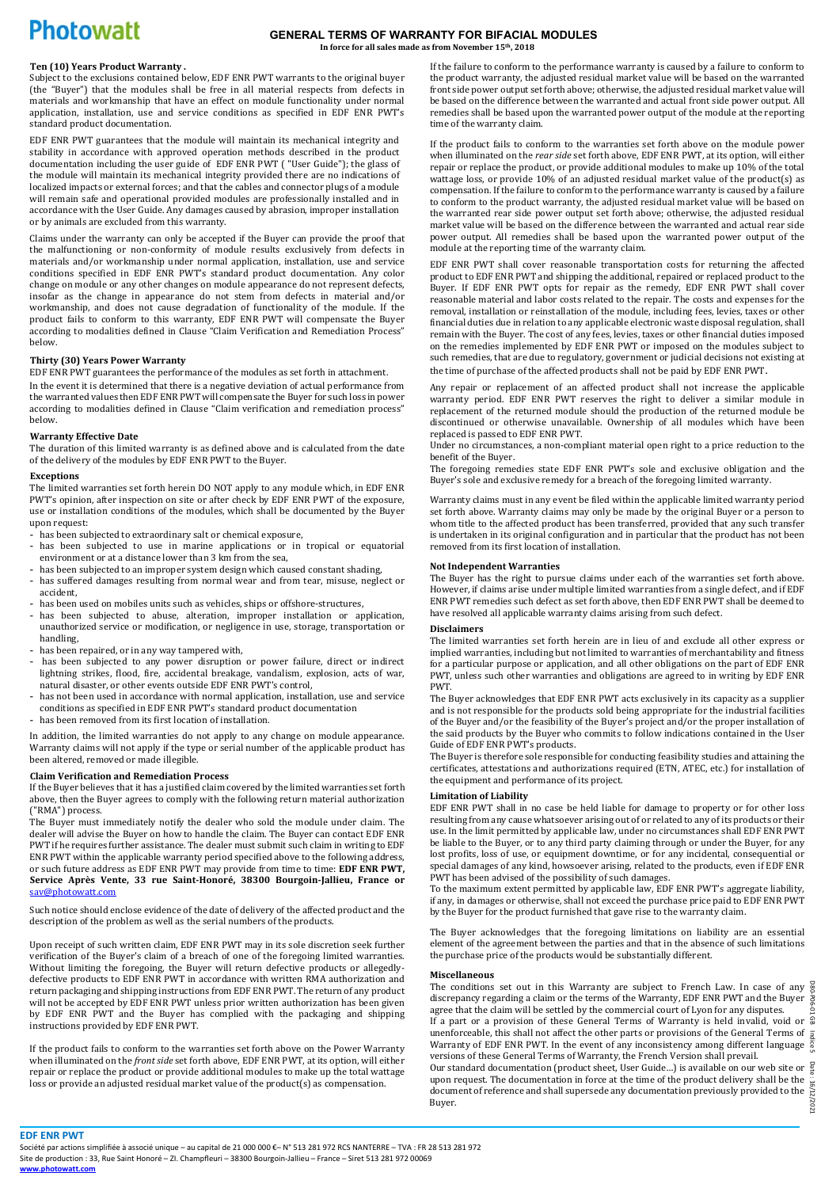# **Photowatt**

#### **GENERAL TERMS OF WARRANTY FOR BIFACIAL MODULES In force for all sales made as from November 15th, 2018**

## **Ten (10) Years Product Warranty .**

Subject to the exclusions contained below, EDF ENR PWT warrants to the original buyer (the "Buyer") that the modules shall be free in all material respects from defects in materials and workmanship that have an effect on module functionality under normal application, installation, use and service conditions as specified in EDF ENR PWT's standard product documentation.

EDF ENR PWT guarantees that the module will maintain its mechanical integrity and stability in accordance with approved operation methods described in the product documentation including the user guide of EDF ENR PWT ( "User Guide"); the glass of the module will maintain its mechanical integrity provided there are no indications of localized impacts or external forces; and that the cables and connector plugs of a module will remain safe and operational provided modules are professionally installed and in accordance with the User Guide. Any damages caused by abrasion, improper installation or by animals are excluded from this warranty.

Claims under the warranty can only be accepted if the Buyer can provide the proof that the malfunctioning or non-conformity of module results exclusively from defects in materials and/or workmanship under normal application, installation, use and service conditions specified in EDF ENR PWT's standard product documentation. Any color change on module or any other changes on module appearance do not represent defects, insofar as the change in appearance do not stem from defects in material and/or workmanship, and does not cause degradation of functionality of the module. If the product fails to conform to this warranty, EDF ENR PWT will compensate the Buyer according to modalities defined in Clause "Claim Verification and Remediation Process" below.

## **Thirty (30) Years Power Warranty**

EDF ENR PWT guarantees the performance of the modules as set forth in attachment.

In the event it is determined that there is a negative deviation of actual performance from the warranted values then EDF ENR PWT will compensate the Buyer for such loss in power according to modalities defined in Clause "Claim verification and remediation process" below.

#### **Warranty Effective Date**

The duration of this limited warranty is as defined above and is calculated from the date of the delivery of the modules by EDF ENR PWT to the Buyer.

#### **Exceptions**

The limited warranties set forth herein DO NOT apply to any module which, in EDF ENR PWT's opinion, after inspection on site or after check by EDF ENR PWT of the exposure, use or installation conditions of the modules, which shall be documented by the Buyer upon request:

- has been subjected to extraordinary salt or chemical exposure,
- has been subjected to use in marine applications or in tropical or equatorial environment or at a distance lower than 3 km from the sea,
- has been subjected to an improper system design which caused constant shading, - has suffered damages resulting from normal wear and from tear, misuse, neglect or accident,
- has been used on mobiles units such as vehicles, ships or offshore-structures,
- has been subjected to abuse, alteration, improper installation or application, unauthorized service or modification, or negligence in use, storage, transportation or handling,
- has been repaired, or in any way tampered with.
- has been subjected to any power disruption or power failure, direct or indirect lightning strikes, flood, fire, accidental breakage, vandalism, explosion, acts of war, natural disaster, or other events outside EDF ENR PWT's control,
- has not been used in accordance with normal application, installation, use and service conditions as specified in EDF ENR PWT's standard product documentation
- has been removed from its first location of installation.

In addition, the limited warranties do not apply to any change on module appearance. Warranty claims will not apply if the type or serial number of the applicable product has been altered, removed or made illegible.

#### **Claim Verification and Remediation Process**

If the Buyer believes that it has a justified claim covered by the limited warranties set forth above, then the Buyer agrees to comply with the following return material authorization ("RMA") process.

The Buyer must immediately notify the dealer who sold the module under claim. The dealer will advise the Buyer on how to handle the claim. The Buyer can contact EDF ENR PWT if he requires further assistance. The dealer must submit such claim in writing to EDF ENR PWT within the applicable warranty period specified above to the following address, or such future address as EDF ENR PWT may provide from time to time: **EDF ENR PWT, Service Après Vente, 33 rue Saint-Honoré, 38300 Bourgoin-Jallieu, France or**  [sav@photowatt.com](mailto:sav@photowatt.com)

Such notice should enclose evidence of the date of delivery of the affected product and the description of the problem as well as the serial numbers of the products.

Upon receipt of such written claim, EDF ENR PWT may in its sole discretion seek further verification of the Buyer's claim of a breach of one of the foregoing limited warranties. Without limiting the foregoing, the Buyer will return defective products or allegedlydefective products to EDF ENR PWT in accordance with written RMA authorization and return packaging and shipping instructions from EDF ENR PWT. The return of any product will not be accepted by EDF ENR PWT unless prior written authorization has been given by EDF ENR PWT and the Buyer has complied with the packaging and shipping instructions provided by EDF ENR PWT.

If the product fails to conform to the warranties set forth above on the Power Warranty when illuminated on the *front side* set forth above, EDF ENR PWT, at its option, will either repair or replace the product or provide additional modules to make up the total wattage loss or provide an adjusted residual market value of the product(s) as compensation.

If the failure to conform to the performance warranty is caused by a failure to conform to the product warranty, the adjusted residual market value will be based on the warranted front side power output set forth above; otherwise, the adjusted residual market value will be based on the difference between the warranted and actual front side power output. All remedies shall be based upon the warranted power output of the module at the reporting time of the warranty claim.

If the product fails to conform to the warranties set forth above on the module power when illuminated on the *rear side* set forth above, EDF ENR PWT, at its option, will either repair or replace the product, or provide additional modules to make up 10% of the total wattage loss, or provide 10% of an adjusted residual market value of the product(s) as compensation. If the failure to conform to the performance warranty is caused by a failure to conform to the product warranty, the adjusted residual market value will be based on the warranted rear side power output set forth above; otherwise, the adjusted residual market value will be based on the difference between the warranted and actual rear side power output. All remedies shall be based upon the warranted power output of the module at the reporting time of the warranty claim.

EDF ENR PWT shall cover reasonable transportation costs for returning the affected product to EDF ENR PWT and shipping the additional, repaired or replaced product to the Buyer. If EDF ENR PWT opts for repair as the remedy, EDF ENR PWT shall cover reasonable material and labor costs related to the repair. The costs and expenses for the removal, installation or reinstallation of the module, including fees, levies, taxes or other financial duties due in relation to any applicable electronic waste disposal regulation, shall remain with the Buyer. The cost of any fees, levies, taxes or other financial duties imposed on the remedies implemented by EDF ENR PWT or imposed on the modules subject to such remedies, that are due to regulatory, government or judicial decisions not existing at the time of purchase of the affected products shall not be paid by EDF ENR PWT.

Any repair or replacement of an affected product shall not increase the applicable warranty period. EDF ENR PWT reserves the right to deliver a similar module in replacement of the returned module should the production of the returned module be discontinued or otherwise unavailable. Ownership of all modules which have been replaced is passed to EDF ENR PWT.

Under no circumstances, a non-compliant material open right to a price reduction to the benefit of the Buyer.

The foregoing remedies state EDF ENR PWT's sole and exclusive obligation and the Buyer's sole and exclusive remedy for a breach of the foregoing limited warranty.

Warranty claims must in any event be filed within the applicable limited warranty period set forth above. Warranty claims may only be made by the original Buyer or a person to whom title to the affected product has been transferred, provided that any such transfer is undertaken in its original configuration and in particular that the product has not been removed from its first location of installation.

## **Not Independent Warranties**

The Buyer has the right to pursue claims under each of the warranties set forth above. However, if claims arise under multiple limited warranties from a single defect, and if EDF ENR PWT remedies such defect as set forth above, then EDF ENR PWT shall be deemed to have resolved all applicable warranty claims arising from such defect.

#### **Disclaimers**

The limited warranties set forth herein are in lieu of and exclude all other express or implied warranties, including but not limited to warranties of merchantability and fitness for a particular purpose or application, and all other obligations on the part of EDF ENR PWT, unless such other warranties and obligations are agreed to in writing by EDF ENR PWT.

The Buyer acknowledges that EDF ENR PWT acts exclusively in its capacity as a supplier and is not responsible for the products sold being appropriate for the industrial facilities of the Buyer and/or the feasibility of the Buyer's project and/or the proper installation of the said products by the Buyer who commits to follow indications contained in the User Guide of EDF ENR PWT's products.

The Buyer is therefore sole responsible for conducting feasibility studies and attaining the certificates, attestations and authorizations required (ETN, ATEC, etc.) for installation of the equipment and performance of its project.

## **Limitation of Liability**

EDF ENR PWT shall in no case be held liable for damage to property or for other loss resulting from any cause whatsoever arising out of or related to any of its products or their use. In the limit permitted by applicable law, under no circumstances shall EDF ENR PWT be liable to the Buyer, or to any third party claiming through or under the Buyer, for any lost profits, loss of use, or equipment downtime, or for any incidental, consequential or special damages of any kind, howsoever arising, related to the products, even if EDF ENR PWT has been advised of the possibility of such damages.

To the maximum extent permitted by applicable law, EDF ENR PWT's aggregate liability, if any, in damages or otherwise, shall not exceed the purchase price paid to EDF ENR PWT by the Buyer for the product furnished that gave rise to the warranty claim.

The Buyer acknowledges that the foregoing limitations on liability are an essential element of the agreement between the parties and that in the absence of such limitations the purchase price of the products would be substantially different.

#### **Miscellaneous**

D80-P06-01 GB unenforceable, this shall not affect the other parts or provisions of the General Terms of  $\frac{1}{8}$  Warranty of EDF ENR PWT. In the event of any inconsistency among different language  $\frac{8}{9}$ The conditions set out in this Warranty are subject to French Law. In case of any discrepancy regarding a claim or the terms of the Warranty, EDF ENR PWT and the Buyer agree that the claim will be settled by the commercial court of Lyon for any disputes. If a part or a provision of these General Terms of Warranty is held invalid, void or  $\frac{6}{9}$ Warranty of EDF ENR PWT. In the event of any inconsistency among different language versions of these General Terms of Warranty, the French Version shall prevail.

Our standard documentation (product sheet, User Guide...) is available on our web site or  $\frac{S}{R}$ upon request. The documentation in force at the time of the product delivery shall be the :16/12/2021 : 16/12/2021 document of reference and shall supersede any documentation previously provided to the Buyer.

**EDF ENR PWT** 

Société par actions simplifiée à associé unique – au capital de 21 000 000 €– N° 513 281 972 RCS NANTERRE – TVA : FR 28 513 281 972 Site de production : 33, Rue Saint Honoré – ZI. Champfleuri – 38300 Bourgoin-Jallieu – France – Siret 513 281 972 00069 **[www.photowatt.com](http://www.photowatt.com/)**